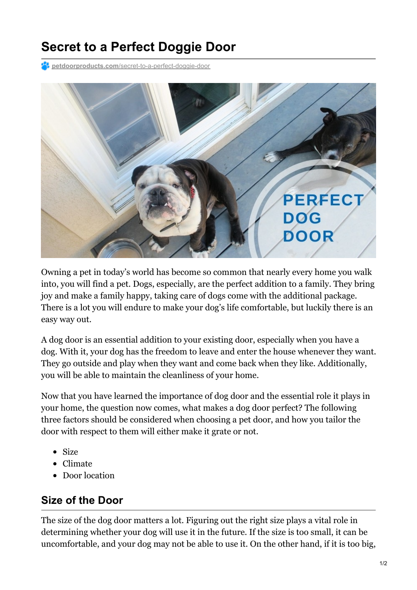# **Secret to a Perfect Doggie Door**

**Petdoorproducts.com**[/secret-to-a-perfect-doggie-door](https://petdoorproducts.com/secret-to-a-perfect-doggie-door/)



Owning a pet in today's world has become so common that nearly every home you walk into, you will find a pet. Dogs, especially, are the perfect addition to a family. They bring joy and make a family happy, taking care of dogs come with the additional package. There is a lot you will endure to make your dog's life comfortable, but luckily there is an easy way out.

A dog door is an essential addition to your existing door, especially when you have a dog. With it, your dog has the freedom to leave and enter the house whenever they want. They go outside and play when they want and come back when they like. Additionally, you will be able to maintain the cleanliness of your home.

Now that you have learned the importance of dog door and the essential role it plays in your home, the question now comes, what makes a dog door perfect? The following three factors should be considered when choosing a pet door, and how you tailor the door with respect to them will either make it grate or not.

- Size
- Climate
- Door location

#### **Size of the Door**

The size of the dog door matters a lot. Figuring out the right size plays a vital role in determining whether your dog will use it in the future. If the size is too small, it can be uncomfortable, and your dog may not be able to use it. On the other hand, if it is too big,